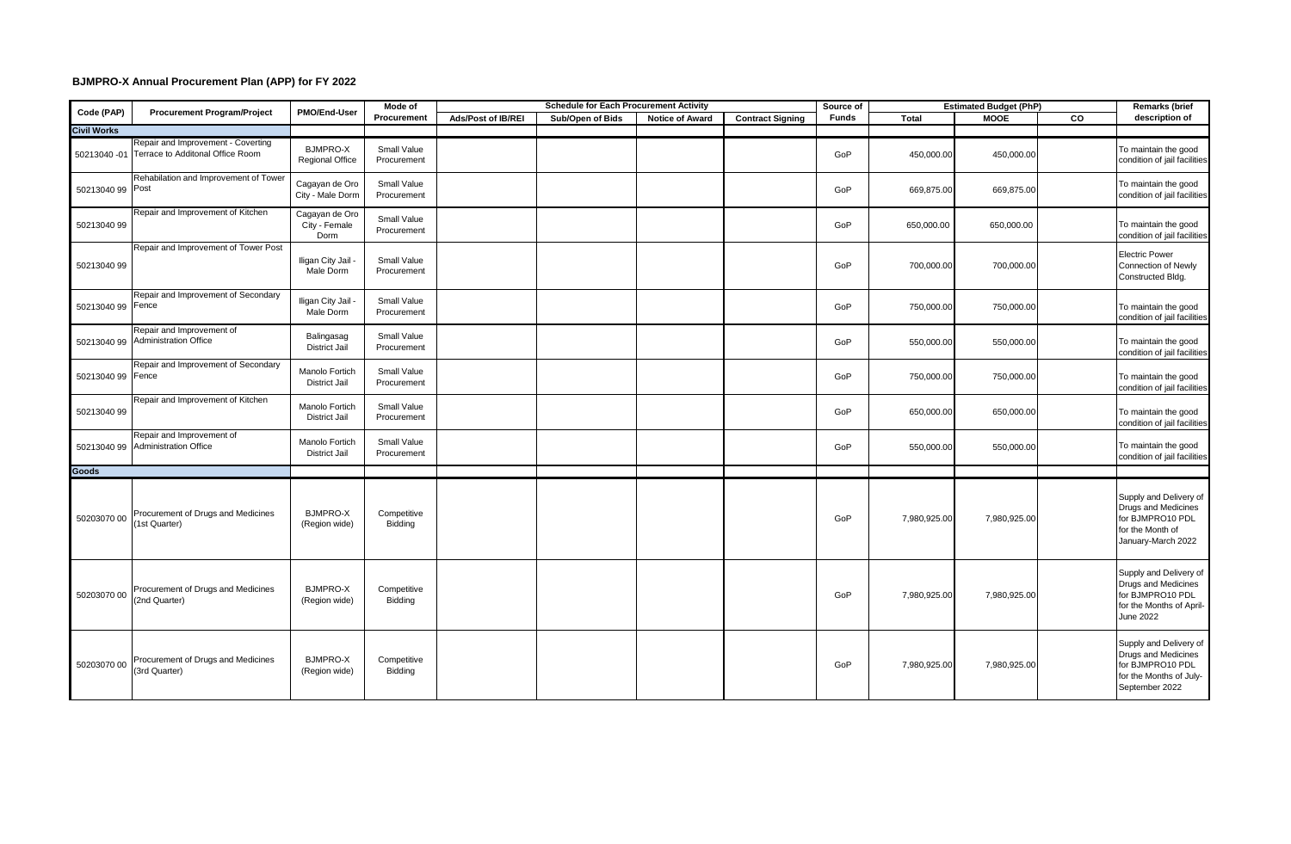#### **BJMPRO-X Annual Procurement Plan (APP) for FY 2022**

| Code (PAP)         | <b>Procurement Program/Project</b>                                     | PMO/End-User                            | Mode of                       |                           | <b>Schedule for Each Procurement Activity</b> |                        |                         | Source of    |              | <b>Estimated Budget (PhP)</b> |    | <b>Remarks (brief</b>                                                                                                 |
|--------------------|------------------------------------------------------------------------|-----------------------------------------|-------------------------------|---------------------------|-----------------------------------------------|------------------------|-------------------------|--------------|--------------|-------------------------------|----|-----------------------------------------------------------------------------------------------------------------------|
|                    |                                                                        |                                         | Procurement                   | <b>Ads/Post of IB/REI</b> | Sub/Open of Bids                              | <b>Notice of Award</b> | <b>Contract Signing</b> | <b>Funds</b> | Total        | <b>MOOE</b>                   | CO | description of                                                                                                        |
| <b>Civil Works</b> |                                                                        |                                         |                               |                           |                                               |                        |                         |              |              |                               |    |                                                                                                                       |
| 50213040 -01       | Repair and Improvement - Coverting<br>Terrace to Additonal Office Room | <b>BJMPRO-X</b><br>Regional Office      | Small Value<br>Procurement    |                           |                                               |                        |                         | GoP          | 450,000.00   | 450,000.00                    |    | To maintain the good<br>condition of jail facilities                                                                  |
| 50213040 99 Post   | Rehabilation and Improvement of Tower                                  | Cagayan de Oro<br>City - Male Dorm      | Small Value<br>Procurement    |                           |                                               |                        |                         | GoP          | 669,875.00   | 669,875.00                    |    | To maintain the good<br>condition of jail facilities                                                                  |
| 50213040 99        | Repair and Improvement of Kitchen                                      | Cagayan de Oro<br>City - Female<br>Dorm | Small Value<br>Procurement    |                           |                                               |                        |                         | GoP          | 650,000.00   | 650,000.00                    |    | To maintain the good<br>condition of jail facilities                                                                  |
| 5021304099         | Repair and Improvement of Tower Post                                   | Iligan City Jail<br>Male Dorm           | Small Value<br>Procurement    |                           |                                               |                        |                         | GoP          | 700,000.00   | 700,000.00                    |    | <b>Electric Power</b><br>Connection of Newly<br>Constructed Bldg.                                                     |
| 50213040 99 Fence  | Repair and Improvement of Secondary                                    | Iligan City Jail<br>Male Dorm           | Small Value<br>Procurement    |                           |                                               |                        |                         | GoP          | 750,000.00   | 750,000.00                    |    | To maintain the good<br>condition of jail facilities                                                                  |
| 50213040 99        | Repair and Improvement of<br><b>Administration Office</b>              | Balingasag<br><b>District Jail</b>      | Small Value<br>Procurement    |                           |                                               |                        |                         | GoP          | 550,000.00   | 550,000.00                    |    | To maintain the good<br>condition of jail facilities                                                                  |
| 50213040 99 Fence  | Repair and Improvement of Secondary                                    | Manolo Fortich<br><b>District Jail</b>  | Small Value<br>Procurement    |                           |                                               |                        |                         | GoP          | 750,000.00   | 750,000.00                    |    | To maintain the good<br>condition of jail facilities                                                                  |
| 5021304099         | Repair and Improvement of Kitchen                                      | Manolo Fortich<br>District Jail         | Small Value<br>Procurement    |                           |                                               |                        |                         | GoP          | 650,000.00   | 650,000.00                    |    | To maintain the good<br>condition of jail facilities                                                                  |
| 5021304099         | Repair and Improvement of<br><b>Administration Office</b>              | Manolo Fortich<br>District Jail         | Small Value<br>Procurement    |                           |                                               |                        |                         | GoP          | 550,000.00   | 550,000.00                    |    | To maintain the good<br>condition of jail facilities                                                                  |
| <b>Goods</b>       |                                                                        |                                         |                               |                           |                                               |                        |                         |              |              |                               |    |                                                                                                                       |
| 50203070 00        | Procurement of Drugs and Medicines<br>(1st Quarter)                    | <b>BJMPRO-X</b><br>(Region wide)        | Competitive<br>Bidding        |                           |                                               |                        |                         | GoP          | 7,980,925.00 | 7,980,925.00                  |    | Supply and Delivery of<br><b>Drugs and Medicines</b><br>for BJMPRO10 PDL<br>for the Month of<br>January-March 2022    |
| 50203070 00        | Procurement of Drugs and Medicines<br>(2nd Quarter)                    | <b>BJMPRO-X</b><br>(Region wide)        | Competitive<br><b>Bidding</b> |                           |                                               |                        |                         | GoP          | 7,980,925.00 | 7,980,925.00                  |    | Supply and Delivery of<br><b>Drugs and Medicines</b><br>for BJMPRO10 PDL<br>for the Months of April-<br>June 2022     |
| 50203070 00        | Procurement of Drugs and Medicines<br>(3rd Quarter)                    | <b>BJMPRO-X</b><br>(Region wide)        | Competitive<br>Bidding        |                           |                                               |                        |                         | GoP          | 7,980,925.00 | 7,980,925.00                  |    | Supply and Delivery of<br><b>Drugs and Medicines</b><br>for BJMPRO10 PDL<br>for the Months of July-<br>September 2022 |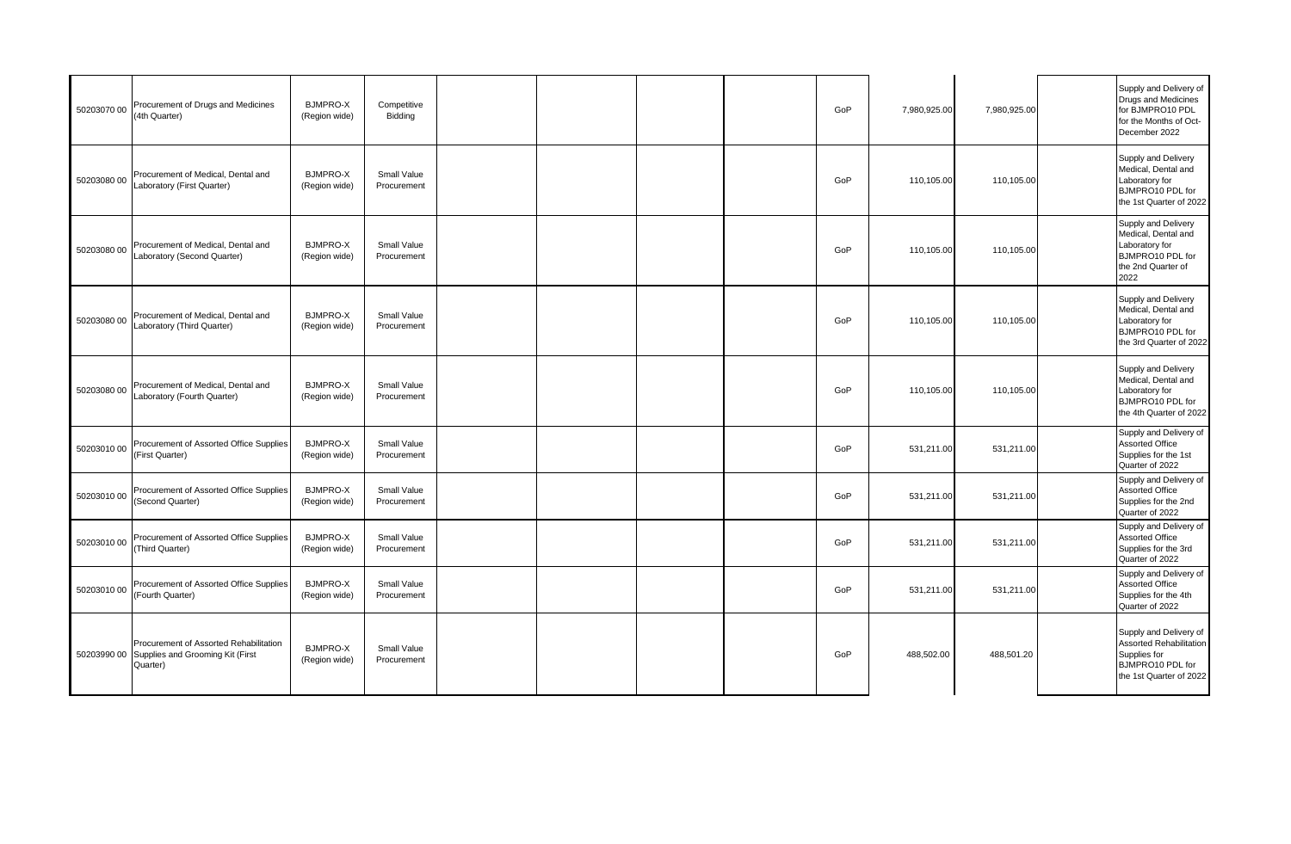| 50203070 00 | Procurement of Drugs and Medicines<br>(4th Quarter)                                    | BJMPRO-X<br>(Region wide)        | Competitive<br>Bidding     |  |  | GoP | 7,980,925.00 | 7,980,925.00 | Supply and Delivery of<br>Drugs and Medicines<br>for BJMPRO10 PDL<br>for the Months of Oct-<br>December 2022     |
|-------------|----------------------------------------------------------------------------------------|----------------------------------|----------------------------|--|--|-----|--------------|--------------|------------------------------------------------------------------------------------------------------------------|
| 50203080 00 | Procurement of Medical, Dental and<br>Laboratory (First Quarter)                       | <b>BJMPRO-X</b><br>(Region wide) | Small Value<br>Procurement |  |  | GoP | 110,105.00   | 110,105.00   | Supply and Delivery<br>Medical, Dental and<br>Laboratory for<br>BJMPRO10 PDL for<br>the 1st Quarter of 2022      |
| 50203080 00 | Procurement of Medical, Dental and<br>aboratory (Second Quarter)                       | <b>BJMPRO-X</b><br>(Region wide) | Small Value<br>Procurement |  |  | GoP | 110,105.00   | 110,105.00   | Supply and Delivery<br>Medical, Dental and<br>Laboratory for<br>BJMPRO10 PDL for<br>the 2nd Quarter of<br>2022   |
| 50203080 00 | Procurement of Medical, Dental and<br>Laboratory (Third Quarter)                       | <b>BJMPRO-X</b><br>(Region wide) | Small Value<br>Procurement |  |  | GoP | 110,105.00   | 110,105.00   | Supply and Delivery<br>Medical, Dental and<br>Laboratory for<br>BJMPRO10 PDL for<br>the 3rd Quarter of 2022      |
| 50203080 00 | Procurement of Medical, Dental and<br>Laboratory (Fourth Quarter)                      | <b>BJMPRO-X</b><br>(Region wide) | Small Value<br>Procurement |  |  | GoP | 110,105.00   | 110,105.00   | Supply and Delivery<br>Medical, Dental and<br>Laboratory for<br>BJMPRO10 PDL for<br>the 4th Quarter of 2022      |
| 50203010 00 | Procurement of Assorted Office Supplies<br>(First Quarter)                             | <b>BJMPRO-X</b><br>(Region wide) | Small Value<br>Procurement |  |  | GoP | 531,211.00   | 531,211.00   | Supply and Delivery of<br>Assorted Office<br>Supplies for the 1st<br>Quarter of 2022                             |
| 50203010 00 | Procurement of Assorted Office Supplies<br>(Second Quarter)                            | BJMPRO-X<br>(Region wide)        | Small Value<br>Procurement |  |  | GoP | 531,211.00   | 531,211.00   | Supply and Delivery of<br>Assorted Office<br>Supplies for the 2nd<br>Quarter of 2022                             |
| 50203010 00 | Procurement of Assorted Office Supplies<br>(Third Quarter)                             | <b>BJMPRO-X</b><br>(Region wide) | Small Value<br>Procurement |  |  | GoP | 531,211.00   | 531,211.00   | Supply and Delivery of<br>Assorted Office<br>Supplies for the 3rd<br>Quarter of 2022                             |
| 50203010 00 | Procurement of Assorted Office Supplies<br>(Fourth Quarter)                            | <b>BJMPRO-X</b><br>(Region wide) | Small Value<br>Procurement |  |  | GoP | 531,211.00   | 531,211.00   | Supply and Delivery of<br><b>Assorted Office</b><br>Supplies for the 4th<br>Quarter of 2022                      |
| 50203990 00 | Procurement of Assorted Rehabilitation<br>Supplies and Grooming Kit (First<br>Quarter) | <b>BJMPRO-X</b><br>(Region wide) | Small Value<br>Procurement |  |  | GoP | 488,502.00   | 488,501.20   | Supply and Delivery of<br>Assorted Rehabilitation<br>Supplies for<br>BJMPRO10 PDL for<br>the 1st Quarter of 2022 |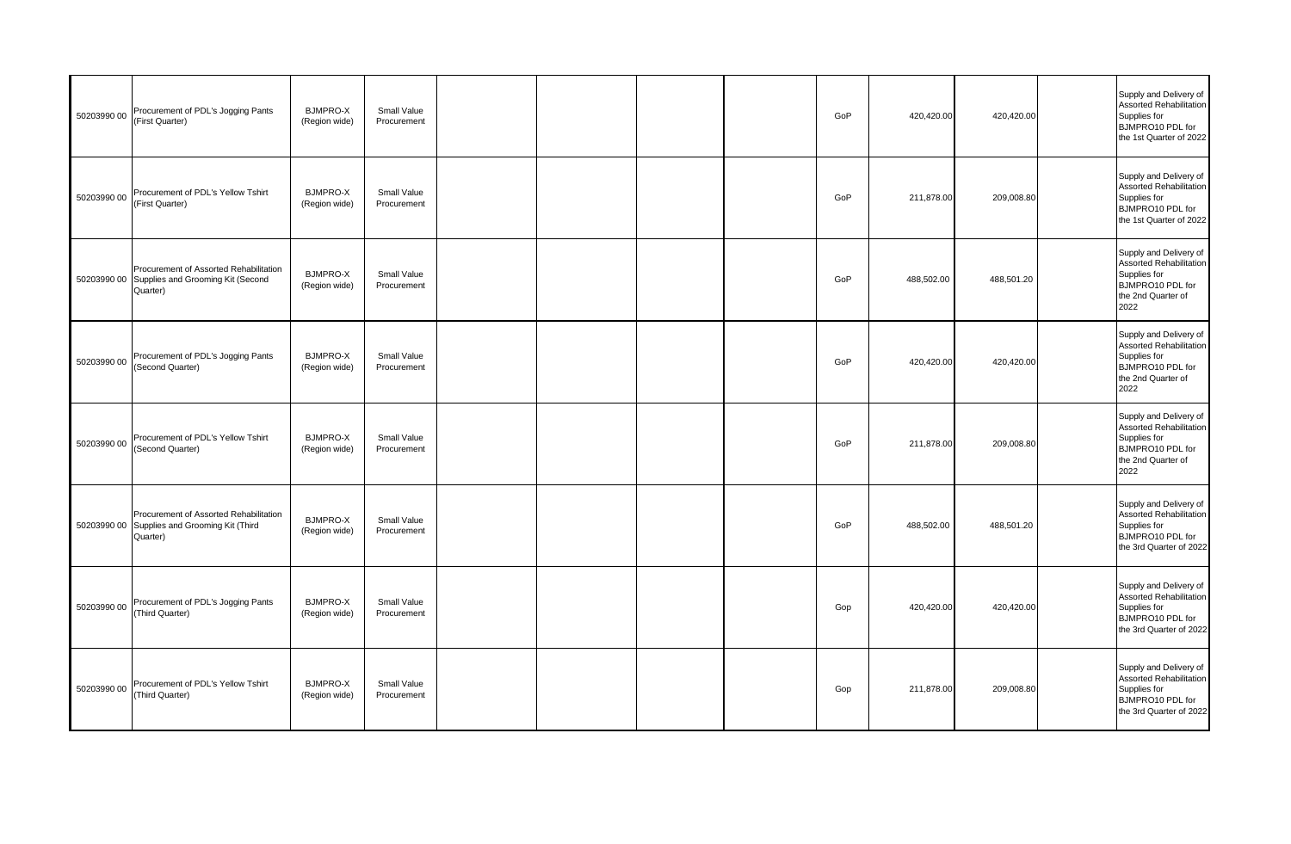| 50203990 00 | Procurement of PDL's Jogging Pants<br>(First Quarter)                                   | <b>BJMPRO-X</b><br>(Region wide) | Small Value<br>Procurement |  |  | GoP | 420,420.00 | 420,420.00 | Supply and Delivery of<br>Assorted Rehabilitation<br>Supplies for<br>BJMPRO10 PDL for<br>the 1st Quarter of 2022           |
|-------------|-----------------------------------------------------------------------------------------|----------------------------------|----------------------------|--|--|-----|------------|------------|----------------------------------------------------------------------------------------------------------------------------|
| 50203990 00 | Procurement of PDL's Yellow Tshirt<br>(First Quarter)                                   | <b>BJMPRO-X</b><br>(Region wide) | Small Value<br>Procurement |  |  | GoP | 211,878.00 | 209,008.80 | Supply and Delivery of<br><b>Assorted Rehabilitation</b><br>Supplies for<br>BJMPRO10 PDL for<br>the 1st Quarter of 2022    |
| 50203990 00 | Procurement of Assorted Rehabilitation<br>Supplies and Grooming Kit (Second<br>Quarter) | BJMPRO-X<br>(Region wide)        | Small Value<br>Procurement |  |  | GoP | 488,502.00 | 488,501.20 | Supply and Delivery of<br><b>Assorted Rehabilitation</b><br>Supplies for<br>BJMPRO10 PDL for<br>the 2nd Quarter of<br>2022 |
| 50203990 00 | Procurement of PDL's Jogging Pants<br>(Second Quarter)                                  | <b>BJMPRO-X</b><br>(Region wide) | Small Value<br>Procurement |  |  | GoP | 420,420.00 | 420,420.00 | Supply and Delivery of<br><b>Assorted Rehabilitation</b><br>Supplies for<br>BJMPRO10 PDL for<br>the 2nd Quarter of<br>2022 |
| 50203990 00 | Procurement of PDL's Yellow Tshirt<br>(Second Quarter)                                  | <b>BJMPRO-X</b><br>(Region wide) | Small Value<br>Procurement |  |  | GoP | 211,878.00 | 209,008.80 | Supply and Delivery of<br>Assorted Rehabilitation<br>Supplies for<br>BJMPRO10 PDL for<br>the 2nd Quarter of<br>2022        |
| 50203990 00 | Procurement of Assorted Rehabilitation<br>Supplies and Grooming Kit (Third<br>Quarter)  | <b>BJMPRO-X</b><br>(Region wide) | Small Value<br>Procurement |  |  | GoP | 488,502.00 | 488,501.20 | Supply and Delivery of<br>Assorted Rehabilitation<br>Supplies for<br>BJMPRO10 PDL for<br>the 3rd Quarter of 2022           |
| 50203990 00 | Procurement of PDL's Jogging Pants<br>(Third Quarter)                                   | BJMPRO-X<br>(Region wide)        | Small Value<br>Procurement |  |  | Gop | 420,420.00 | 420,420.00 | Supply and Delivery of<br><b>Assorted Rehabilitation</b><br>Supplies for<br>BJMPRO10 PDL for<br>the 3rd Quarter of 2022    |
| 50203990 00 | Procurement of PDL's Yellow Tshirt<br>(Third Quarter)                                   | <b>BJMPRO-X</b><br>(Region wide) | Small Value<br>Procurement |  |  | Gop | 211,878.00 | 209,008.80 | Supply and Delivery of<br><b>Assorted Rehabilitation</b><br>Supplies for<br>BJMPRO10 PDL for<br>the 3rd Quarter of 2022    |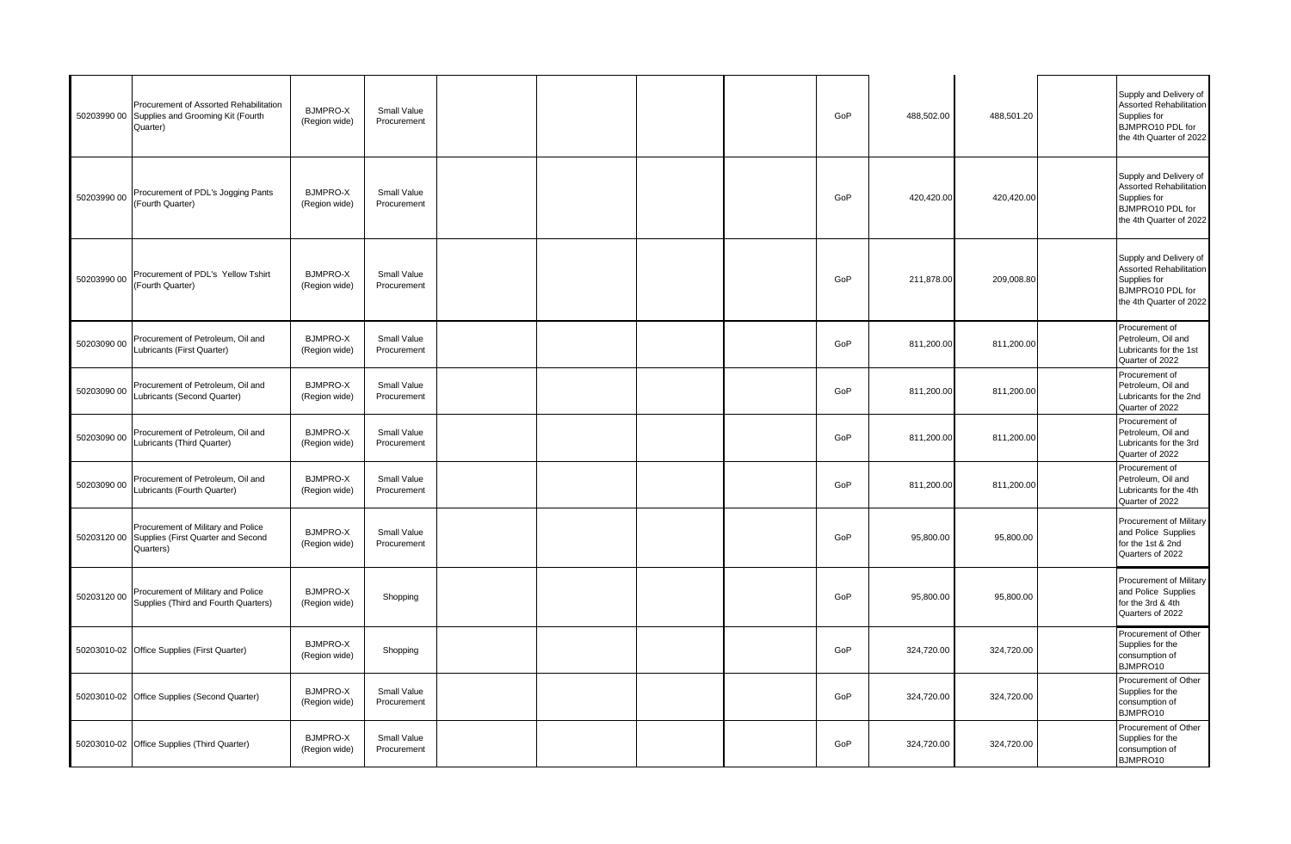| 50203990 00 | Procurement of Assorted Rehabilitation<br>Supplies and Grooming Kit (Fourth<br>Quarter)           | <b>BJMPRO-X</b><br>(Region wide) | Small Value<br>Procurement |  |  | GoP | 488,502.00 | 488,501.20 | Supply and Delivery of<br>Assorted Rehabilitation<br>Supplies for<br>BJMPRO10 PDL for<br>the 4th Quarter of 2022        |
|-------------|---------------------------------------------------------------------------------------------------|----------------------------------|----------------------------|--|--|-----|------------|------------|-------------------------------------------------------------------------------------------------------------------------|
| 50203990 00 | Procurement of PDL's Jogging Pants<br>(Fourth Quarter)                                            | <b>BJMPRO-X</b><br>(Region wide) | Small Value<br>Procurement |  |  | GoP | 420,420.00 | 420,420.00 | Supply and Delivery of<br>Assorted Rehabilitation<br>Supplies for<br>BJMPRO10 PDL for<br>the 4th Quarter of 2022        |
| 50203990 00 | Procurement of PDL's Yellow Tshirt<br>(Fourth Quarter)                                            | <b>BJMPRO-X</b><br>(Region wide) | Small Value<br>Procurement |  |  | GoP | 211,878.00 | 209,008.80 | Supply and Delivery of<br><b>Assorted Rehabilitation</b><br>Supplies for<br>BJMPRO10 PDL for<br>the 4th Quarter of 2022 |
| 50203090 00 | Procurement of Petroleum, Oil and<br>Lubricants (First Quarter)                                   | BJMPRO-X<br>(Region wide)        | Small Value<br>Procurement |  |  | GoP | 811,200.00 | 811,200.00 | Procurement of<br>Petroleum, Oil and<br>Lubricants for the 1st<br>Quarter of 2022                                       |
| 50203090 00 | Procurement of Petroleum, Oil and<br>Lubricants (Second Quarter)                                  | <b>BJMPRO-X</b><br>(Region wide) | Small Value<br>Procurement |  |  | GoP | 811,200.00 | 811,200.00 | Procurement of<br>Petroleum, Oil and<br>Lubricants for the 2nd<br>Quarter of 2022                                       |
| 50203090 00 | Procurement of Petroleum, Oil and<br>Lubricants (Third Quarter)                                   | <b>BJMPRO-X</b><br>(Region wide) | Small Value<br>Procurement |  |  | GoP | 811,200.00 | 811,200.00 | Procurement of<br>Petroleum, Oil and<br>Lubricants for the 3rd<br>Quarter of 2022                                       |
| 50203090 00 | Procurement of Petroleum, Oil and<br>Lubricants (Fourth Quarter)                                  | <b>BJMPRO-X</b><br>(Region wide) | Small Value<br>Procurement |  |  | GoP | 811,200.00 | 811,200.00 | Procurement of<br>Petroleum, Oil and<br>Lubricants for the 4th<br>Quarter of 2022                                       |
|             | Procurement of Military and Police<br>50203120 00 Supplies (First Quarter and Second<br>Quarters) | <b>BJMPRO-X</b><br>(Region wide) | Small Value<br>Procurement |  |  | GoP | 95,800.00  | 95,800.00  | <b>Procurement of Military</b><br>and Police Supplies<br>for the 1st & 2nd<br>Quarters of 2022                          |
| 50203120 00 | Procurement of Military and Police<br>Supplies (Third and Fourth Quarters)                        | <b>BJMPRO-X</b><br>(Region wide) | Shopping                   |  |  | GoP | 95,800.00  | 95,800.00  | Procurement of Military<br>and Police Supplies<br>for the 3rd & 4th<br>Quarters of 2022                                 |
|             | 50203010-02 Office Supplies (First Quarter)                                                       | <b>BJMPRO-X</b><br>(Region wide) | Shopping                   |  |  | GoP | 324,720.00 | 324,720.00 | Procurement of Other<br>Supplies for the<br>consumption of<br>BJMPRO10                                                  |
|             | 50203010-02 Office Supplies (Second Quarter)                                                      | <b>BJMPRO-X</b><br>(Region wide) | Small Value<br>Procurement |  |  | GoP | 324,720.00 | 324,720.00 | Procurement of Other<br>Supplies for the<br>consumption of<br>BJMPRO10                                                  |
|             | 50203010-02 Office Supplies (Third Quarter)                                                       | <b>BJMPRO-X</b><br>(Region wide) | Small Value<br>Procurement |  |  | GoP | 324,720.00 | 324,720.00 | Procurement of Other<br>Supplies for the<br>consumption of<br>BJMPRO10                                                  |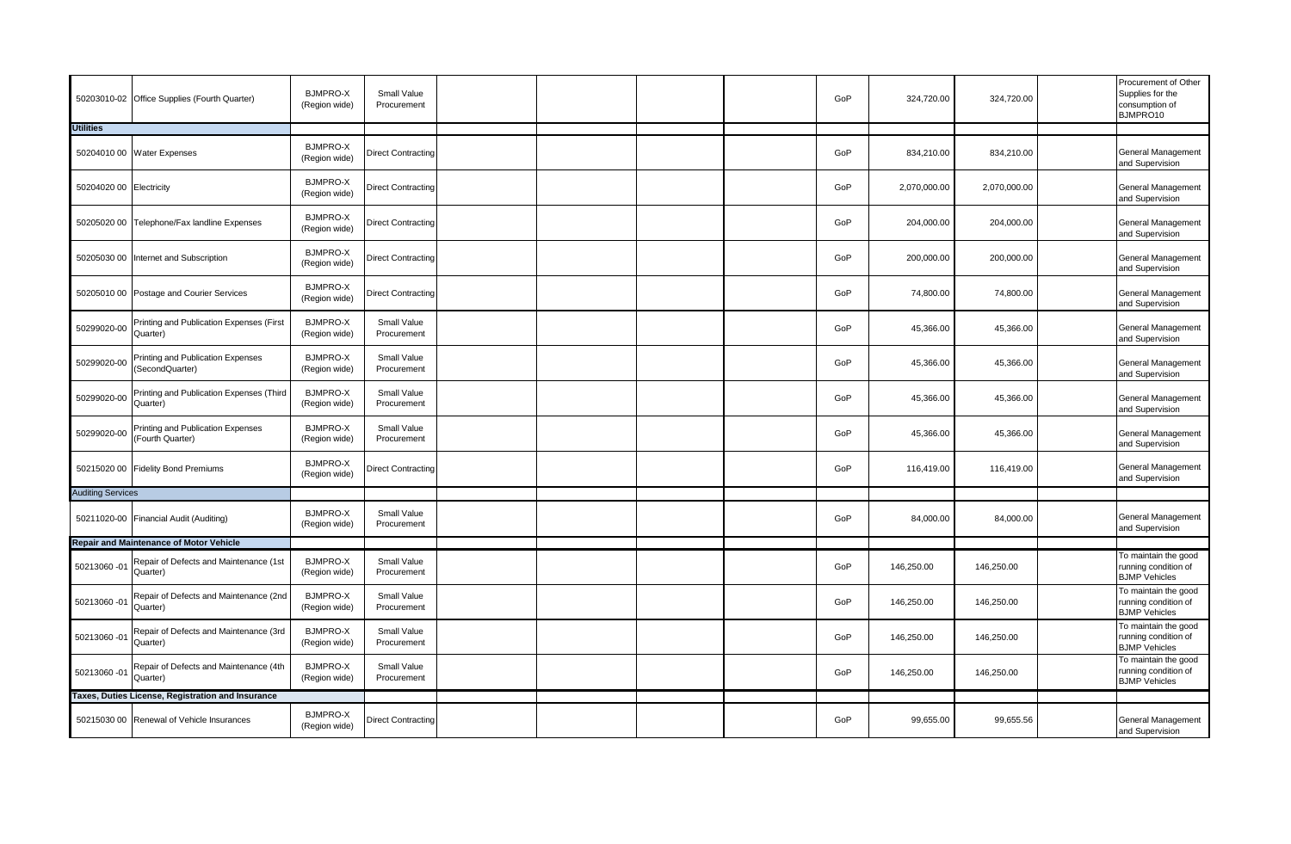|                          | 50203010-02 Office Supplies (Fourth Quarter)          | BJMPRO-X<br>(Region wide)        | Small Value<br>Procurement |  |  | GoP | 324,720.00   | 324,720.00   | Procurement of Other<br>Supplies for the<br>consumption of<br>BJMPRO10 |
|--------------------------|-------------------------------------------------------|----------------------------------|----------------------------|--|--|-----|--------------|--------------|------------------------------------------------------------------------|
| <b>Utilities</b>         |                                                       |                                  |                            |  |  |     |              |              |                                                                        |
|                          | 50204010 00 Water Expenses                            | <b>BJMPRO-X</b><br>(Region wide) | <b>Direct Contracting</b>  |  |  | GoP | 834,210.00   | 834,210.00   | General Management<br>and Supervision                                  |
| 50204020 00 Electricity  |                                                       | BJMPRO-X<br>(Region wide)        | <b>Direct Contracting</b>  |  |  | GoP | 2,070,000.00 | 2,070,000.00 | General Management<br>and Supervision                                  |
|                          | 50205020 00 Telephone/Fax landline Expenses           | <b>BJMPRO-X</b><br>(Region wide) | <b>Direct Contracting</b>  |  |  | GoP | 204,000.00   | 204,000.00   | General Management<br>and Supervision                                  |
|                          | 50205030 00 Internet and Subscription                 | BJMPRO-X<br>(Region wide)        | <b>Direct Contracting</b>  |  |  | GoP | 200,000.00   | 200,000.00   | General Management<br>and Supervision                                  |
|                          | 50205010 00 Postage and Courier Services              | <b>BJMPRO-X</b><br>(Region wide) | <b>Direct Contracting</b>  |  |  | GoP | 74,800.00    | 74,800.00    | General Management<br>and Supervision                                  |
| 50299020-00              | Printing and Publication Expenses (First<br>Quarter)  | <b>BJMPRO-X</b><br>(Region wide) | Small Value<br>Procurement |  |  | GoP | 45,366.00    | 45,366.00    | General Management<br>and Supervision                                  |
| 50299020-00              | Printing and Publication Expenses<br>(SecondQuarter)  | <b>BJMPRO-X</b><br>(Region wide) | Small Value<br>Procurement |  |  | GoP | 45,366.00    | 45,366.00    | General Management<br>and Supervision                                  |
| 50299020-00              | Printing and Publication Expenses (Third<br>Quarter)  | <b>BJMPRO-X</b><br>(Region wide) | Small Value<br>Procurement |  |  | GoP | 45,366.00    | 45,366.00    | General Management<br>and Supervision                                  |
| 50299020-00              | Printing and Publication Expenses<br>(Fourth Quarter) | <b>BJMPRO-X</b><br>(Region wide) | Small Value<br>Procurement |  |  | GoP | 45,366.00    | 45,366.00    | General Management<br>and Supervision                                  |
|                          | 50215020 00 Fidelity Bond Premiums                    | <b>BJMPRO-X</b><br>(Region wide) | <b>Direct Contracting</b>  |  |  | GoP | 116,419.00   | 116,419.00   | General Management<br>and Supervision                                  |
| <b>Auditing Services</b> |                                                       |                                  |                            |  |  |     |              |              |                                                                        |
|                          | 50211020-00 Financial Audit (Auditing)                | <b>BJMPRO-X</b><br>(Region wide) | Small Value<br>Procurement |  |  | GoP | 84,000.00    | 84,000.00    | General Management<br>and Supervision                                  |
|                          | <b>Repair and Maintenance of Motor Vehicle</b>        |                                  |                            |  |  |     |              |              |                                                                        |
| 50213060 -01             | Repair of Defects and Maintenance (1st<br>Quarter)    | <b>BJMPRO-X</b><br>(Region wide) | Small Value<br>Procurement |  |  | GoP | 146,250.00   | 146,250.00   | To maintain the good<br>running condition of<br><b>BJMP</b> Vehicles   |
| 50213060 -01             | Repair of Defects and Maintenance (2nd<br>Quarter)    | <b>BJMPRO-X</b><br>(Region wide) | Small Value<br>Procurement |  |  | GoP | 146,250.00   | 146,250.00   | To maintain the good<br>running condition of<br><b>BJMP Vehicles</b>   |
| 50213060 -01             | Repair of Defects and Maintenance (3rd<br>Quarter)    | <b>BJMPRO-X</b><br>(Region wide) | Small Value<br>Procurement |  |  | GoP | 146,250.00   | 146,250.00   | To maintain the good<br>running condition of<br><b>BJMP</b> Vehicles   |
| 50213060 -01             | Repair of Defects and Maintenance (4th<br>Quarter)    | <b>BJMPRO-X</b><br>(Region wide) | Small Value<br>Procurement |  |  | GoP | 146,250.00   | 146,250.00   | To maintain the good<br>running condition of<br><b>BJMP</b> Vehicles   |
|                          | Taxes, Duties License, Registration and Insurance     |                                  |                            |  |  |     |              |              |                                                                        |
|                          | 50215030 00 Renewal of Vehicle Insurances             | <b>BJMPRO-X</b><br>(Region wide) | <b>Direct Contracting</b>  |  |  | GoP | 99,655.00    | 99,655.56    | General Management<br>and Supervision                                  |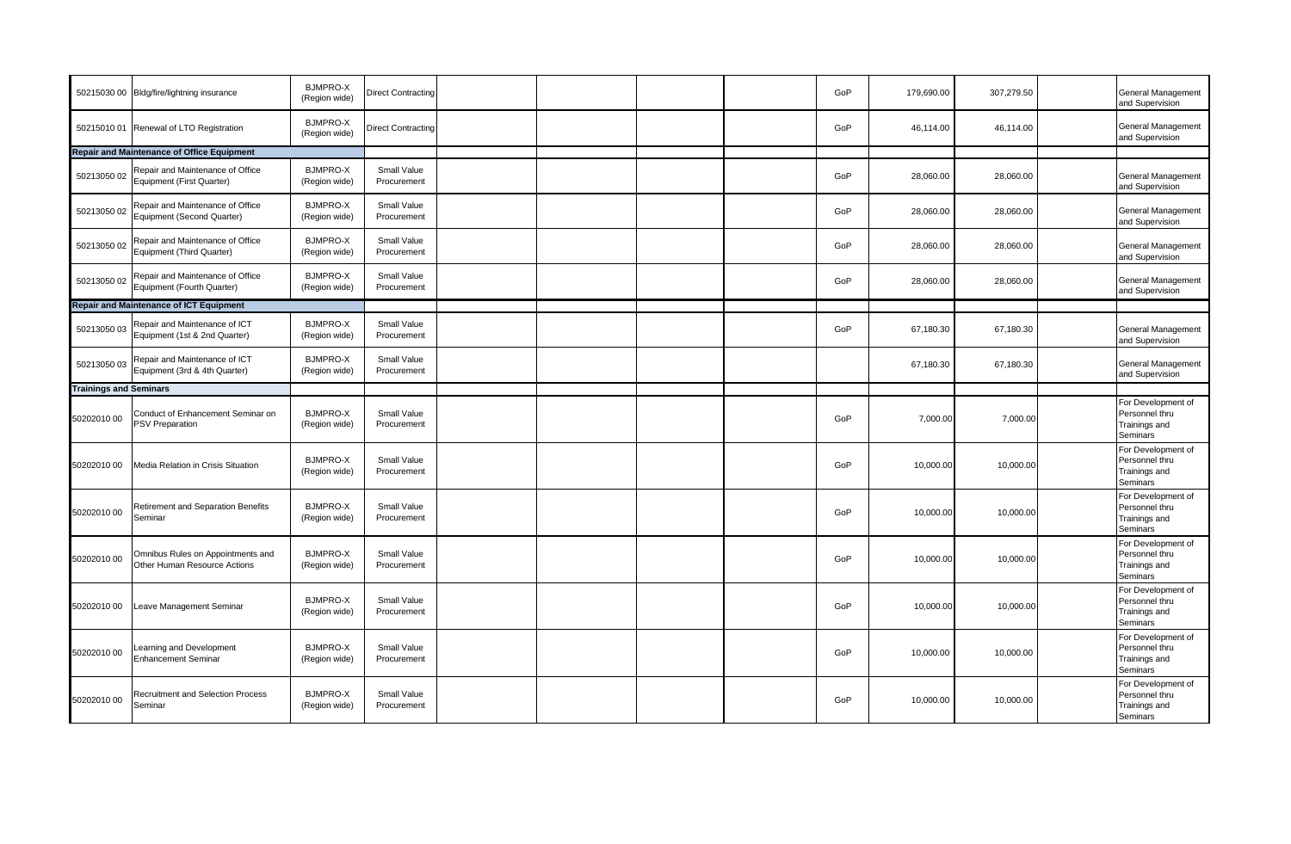| 50215030 00                   | Bldg/fire/lightning insurance                                         | <b>BJMPRO-X</b><br>(Region wide) | <b>Direct Contracting</b>  |  |  | GoP | 179,690.00 | 307,279.50 | General Management<br>and Supervision                             |
|-------------------------------|-----------------------------------------------------------------------|----------------------------------|----------------------------|--|--|-----|------------|------------|-------------------------------------------------------------------|
|                               | 50215010 01 Renewal of LTO Registration                               | <b>BJMPRO-X</b><br>(Region wide) | <b>Direct Contracting</b>  |  |  | GoP | 46,114.00  | 46,114.00  | General Management<br>and Supervision                             |
|                               | Repair and Maintenance of Office Equipment                            |                                  |                            |  |  |     |            |            |                                                                   |
| 50213050 02                   | Repair and Maintenance of Office<br>Equipment (First Quarter)         | <b>BJMPRO-X</b><br>(Region wide) | Small Value<br>Procurement |  |  | GoP | 28,060.00  | 28,060.00  | General Management<br>and Supervision                             |
| 50213050 02                   | Repair and Maintenance of Office<br><b>Equipment (Second Quarter)</b> | <b>BJMPRO-X</b><br>(Region wide) | Small Value<br>Procurement |  |  | GoP | 28,060.00  | 28,060.00  | General Management<br>and Supervision                             |
| 50213050 02                   | Repair and Maintenance of Office<br>Equipment (Third Quarter)         | <b>BJMPRO-X</b><br>(Region wide) | Small Value<br>Procurement |  |  | GoP | 28,060.00  | 28,060.00  | General Management<br>and Supervision                             |
| 50213050 02                   | Repair and Maintenance of Office<br>Equipment (Fourth Quarter)        | BJMPRO-X<br>(Region wide)        | Small Value<br>Procurement |  |  | GoP | 28,060.00  | 28,060.00  | General Management<br>and Supervision                             |
|                               | <b>Repair and Maintenance of ICT Equipment</b>                        |                                  |                            |  |  |     |            |            |                                                                   |
| 50213050 03                   | Repair and Maintenance of ICT<br>Equipment (1st & 2nd Quarter)        | BJMPRO-X<br>(Region wide)        | Small Value<br>Procurement |  |  | GoP | 67,180.30  | 67,180.30  | General Management<br>and Supervision                             |
| 5021305003                    | Repair and Maintenance of ICT<br>Equipment (3rd & 4th Quarter)        | <b>BJMPRO-X</b><br>(Region wide) | Small Value<br>Procurement |  |  |     | 67,180.30  | 67,180.30  | General Management<br>and Supervision                             |
| <b>Trainings and Seminars</b> |                                                                       |                                  |                            |  |  |     |            |            |                                                                   |
| 50202010 00                   | Conduct of Enhancement Seminar on<br><b>PSV Preparation</b>           | <b>BJMPRO-X</b><br>(Region wide) | Small Value<br>Procurement |  |  | GoP | 7,000.00   | 7,000.00   | For Development of<br>Personnel thru<br>Trainings and<br>Seminars |
| 50202010 00                   | Media Relation in Crisis Situation                                    | <b>BJMPRO-X</b><br>(Region wide) | Small Value<br>Procurement |  |  | GoP | 10,000.00  | 10,000.00  | For Development of<br>Personnel thru<br>Trainings and<br>Seminars |
| 50202010 00                   | Retirement and Separation Benefits<br>Seminar                         | <b>BJMPRO-X</b><br>(Region wide) | Small Value<br>Procurement |  |  | GoP | 10,000.00  | 10,000.00  | For Development of<br>Personnel thru<br>Trainings and<br>Seminars |
| 50202010 00                   | Omnibus Rules on Appointments and<br>Other Human Resource Actions     | <b>BJMPRO-X</b><br>(Region wide) | Small Value<br>Procurement |  |  | GoP | 10,000.00  | 10,000.00  | For Development of<br>Personnel thru<br>Trainings and<br>Seminars |
| 50202010 00                   | Leave Management Seminar                                              | <b>BJMPRO-X</b><br>(Region wide) | Small Value<br>Procurement |  |  | GoP | 10,000.00  | 10,000.00  | For Development of<br>Personnel thru<br>Trainings and<br>Seminars |
| 50202010 00                   | Learning and Development<br><b>Enhancement Seminar</b>                | <b>BJMPRO-X</b><br>(Region wide) | Small Value<br>Procurement |  |  | GoP | 10,000.00  | 10,000.00  | For Development of<br>Personnel thru<br>Trainings and<br>Seminars |
| 50202010 00                   | Recruitment and Selection Process<br>Seminar                          | <b>BJMPRO-X</b><br>(Region wide) | Small Value<br>Procurement |  |  | GoP | 10,000.00  | 10,000.00  | For Development of<br>Personnel thru<br>Trainings and<br>Seminars |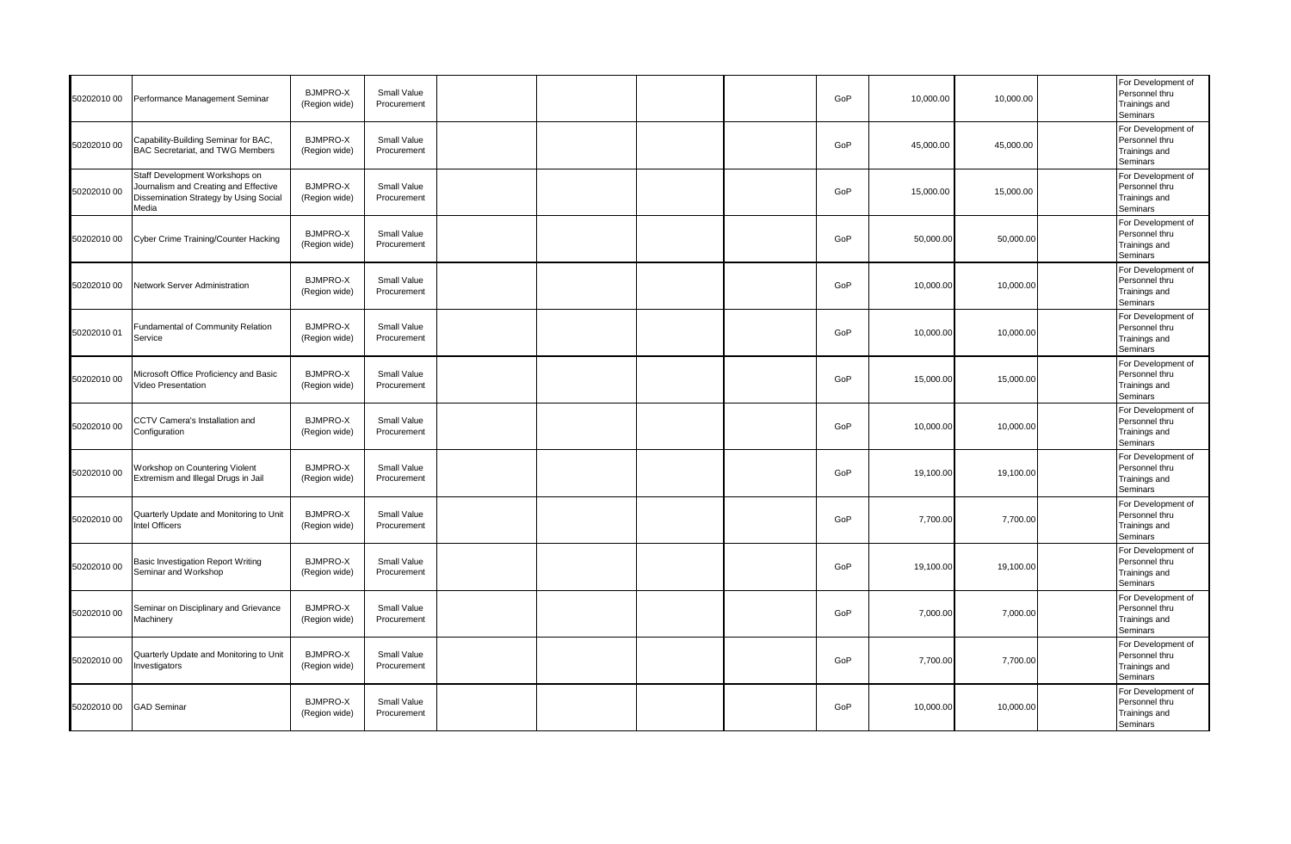| 50202010 00 | Performance Management Seminar                                                                                             | <b>BJMPRO-X</b><br>(Region wide) | Small Value<br>Procurement |  |  | GoP | 10,000.00 | 10,000.00 | For Development of<br>Personnel thru<br>Trainings and<br>Seminars |
|-------------|----------------------------------------------------------------------------------------------------------------------------|----------------------------------|----------------------------|--|--|-----|-----------|-----------|-------------------------------------------------------------------|
| 50202010 00 | Capability-Building Seminar for BAC,<br>BAC Secretariat, and TWG Members                                                   | <b>BJMPRO-X</b><br>(Region wide) | Small Value<br>Procurement |  |  | GoP | 45,000.00 | 45,000.00 | For Development of<br>Personnel thru<br>Trainings and<br>Seminars |
| 50202010 00 | Staff Development Workshops on<br>Journalism and Creating and Effective<br>Dissemination Strategy by Using Social<br>Media | <b>BJMPRO-X</b><br>(Region wide) | Small Value<br>Procurement |  |  | GoP | 15,000.00 | 15,000.00 | For Development of<br>Personnel thru<br>Trainings and<br>Seminars |
| 50202010 00 | Cyber Crime Training/Counter Hacking                                                                                       | <b>BJMPRO-X</b><br>(Region wide) | Small Value<br>Procurement |  |  | GoP | 50,000.00 | 50,000.00 | For Development of<br>Personnel thru<br>Trainings and<br>Seminars |
| 50202010 00 | Network Server Administration                                                                                              | <b>BJMPRO-X</b><br>(Region wide) | Small Value<br>Procurement |  |  | GoP | 10,000.00 | 10,000.00 | For Development of<br>Personnel thru<br>Trainings and<br>Seminars |
| 50202010 01 | Fundamental of Community Relation<br>Service                                                                               | <b>BJMPRO-X</b><br>(Region wide) | Small Value<br>Procurement |  |  | GoP | 10,000.00 | 10,000.00 | For Development of<br>Personnel thru<br>Trainings and<br>Seminars |
| 50202010 00 | Microsoft Office Proficiency and Basic<br>Video Presentation                                                               | <b>BJMPRO-X</b><br>(Region wide) | Small Value<br>Procurement |  |  | GoP | 15,000.00 | 15,000.00 | For Development of<br>Personnel thru<br>Trainings and<br>Seminars |
| 50202010 00 | CCTV Camera's Installation and<br>Configuration                                                                            | <b>BJMPRO-X</b><br>(Region wide) | Small Value<br>Procurement |  |  | GoP | 10,000.00 | 10,000.00 | For Development of<br>Personnel thru<br>Trainings and<br>Seminars |
| 50202010 00 | Workshop on Countering Violent<br>Extremism and Illegal Drugs in Jail                                                      | <b>BJMPRO-X</b><br>(Region wide) | Small Value<br>Procurement |  |  | GoP | 19,100.00 | 19,100.00 | For Development of<br>Personnel thru<br>Trainings and<br>Seminars |
| 50202010 00 | Quarterly Update and Monitoring to Unit<br>Intel Officers                                                                  | <b>BJMPRO-X</b><br>(Region wide) | Small Value<br>Procurement |  |  | GoP | 7,700.00  | 7,700.00  | For Development of<br>Personnel thru<br>Trainings and<br>Seminars |
| 50202010 00 | <b>Basic Investigation Report Writing</b><br>Seminar and Workshop                                                          | <b>BJMPRO-X</b><br>(Region wide) | Small Value<br>Procurement |  |  | GoP | 19,100.00 | 19,100.00 | For Development of<br>Personnel thru<br>Trainings and<br>Seminars |
| 50202010 00 | Seminar on Disciplinary and Grievance<br>Machinery                                                                         | <b>BJMPRO-X</b><br>(Region wide) | Small Value<br>Procurement |  |  | GoP | 7,000.00  | 7,000.00  | For Development of<br>Personnel thru<br>Trainings and<br>Seminars |
| 50202010 00 | Quarterly Update and Monitoring to Unit<br>Investigators                                                                   | <b>BJMPRO-X</b><br>(Region wide) | Small Value<br>Procurement |  |  | GoP | 7,700.00  | 7,700.00  | For Development of<br>Personnel thru<br>Trainings and<br>Seminars |
| 50202010 00 | <b>GAD Seminar</b>                                                                                                         | <b>BJMPRO-X</b><br>(Region wide) | Small Value<br>Procurement |  |  | GoP | 10,000.00 | 10,000.00 | For Development of<br>Personnel thru<br>Trainings and<br>Seminars |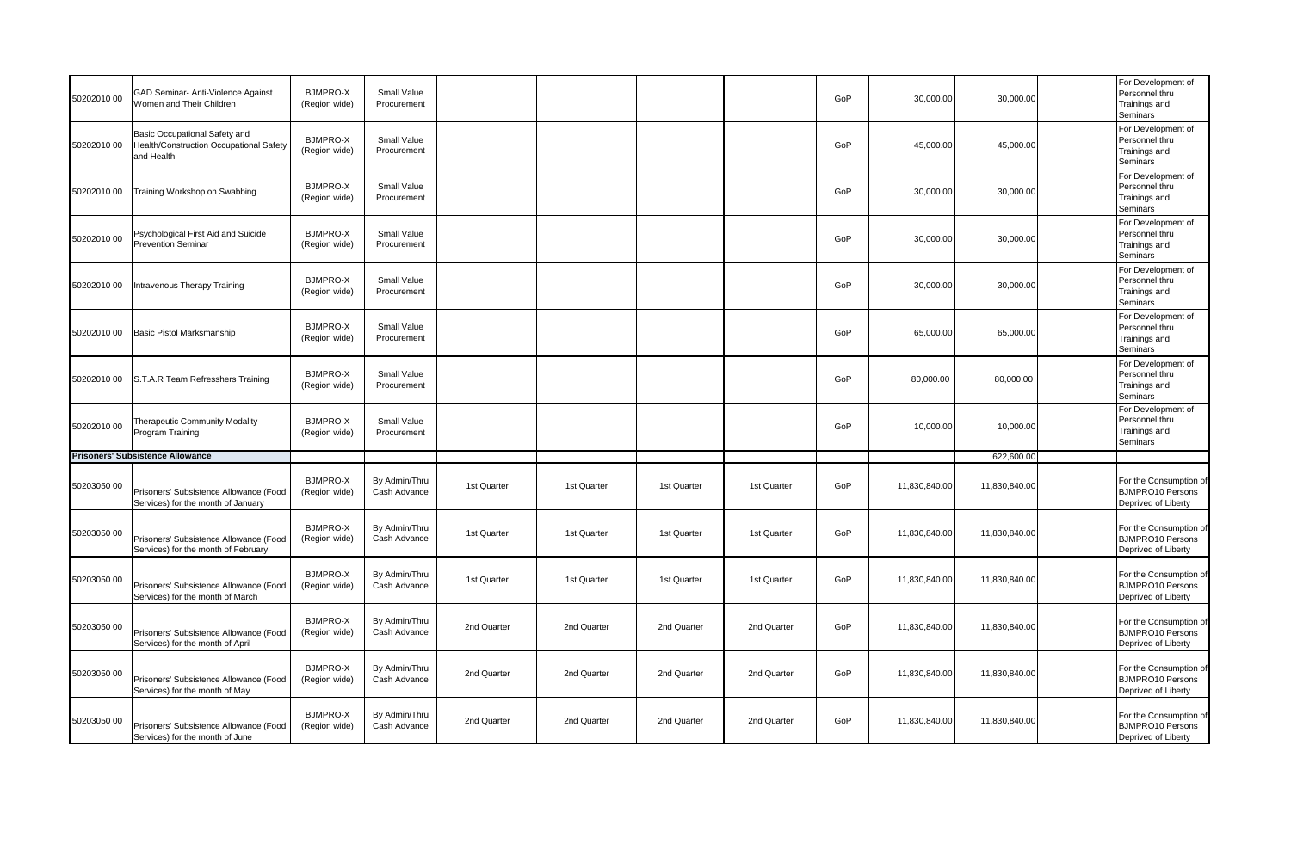| 50202010 00 | GAD Seminar- Anti-Violence Against<br><b>Nomen and Their Children</b>                  | <b>BJMPRO-X</b><br>(Region wide) | Small Value<br>Procurement    |             |             |             |             | GoP | 30,000.00     | 30,000.00     | For Development of<br>Personnel thru<br>Trainings and<br>Seminars        |
|-------------|----------------------------------------------------------------------------------------|----------------------------------|-------------------------------|-------------|-------------|-------------|-------------|-----|---------------|---------------|--------------------------------------------------------------------------|
| 50202010 00 | Basic Occupational Safety and<br>Health/Construction Occupational Safety<br>and Health | <b>BJMPRO-X</b><br>(Region wide) | Small Value<br>Procurement    |             |             |             |             | GoP | 45,000.00     | 45,000.00     | For Development of<br>Personnel thru<br>Trainings and<br>Seminars        |
| 50202010 00 | Training Workshop on Swabbing                                                          | <b>BJMPRO-X</b><br>(Region wide) | Small Value<br>Procurement    |             |             |             |             | GoP | 30,000.00     | 30,000.00     | For Development of<br>Personnel thru<br>Trainings and<br>Seminars        |
| 50202010 00 | Psychological First Aid and Suicide<br><b>Prevention Seminar</b>                       | <b>BJMPRO-X</b><br>(Region wide) | Small Value<br>Procurement    |             |             |             |             | GoP | 30,000.00     | 30,000.00     | For Development of<br>Personnel thru<br>Trainings and<br>Seminars        |
| 50202010 00 | Intravenous Therapy Training                                                           | <b>BJMPRO-X</b><br>(Region wide) | Small Value<br>Procurement    |             |             |             |             | GoP | 30,000.00     | 30,000.00     | For Development of<br>Personnel thru<br>Trainings and<br>Seminars        |
| 50202010 00 | Basic Pistol Marksmanship                                                              | <b>BJMPRO-X</b><br>(Region wide) | Small Value<br>Procurement    |             |             |             |             | GoP | 65,000.00     | 65,000.00     | For Development of<br>Personnel thru<br>Trainings and<br>Seminars        |
| 50202010 00 | S.T.A.R Team Refresshers Training                                                      | <b>BJMPRO-X</b><br>(Region wide) | Small Value<br>Procurement    |             |             |             |             | GoP | 80,000.00     | 80,000.00     | For Development of<br>Personnel thru<br>Trainings and<br>Seminars        |
| 50202010 00 | <b>Therapeutic Community Modality</b><br>Program Training                              | <b>BJMPRO-X</b><br>(Region wide) | Small Value<br>Procurement    |             |             |             |             | GoP | 10,000.00     | 10,000.00     | For Development of<br>Personnel thru<br>Trainings and<br>Seminars        |
|             | <b>Prisoners' Subsistence Allowance</b>                                                |                                  |                               |             |             |             |             |     |               | 622,600.00    |                                                                          |
| 50203050 00 | Prisoners' Subsistence Allowance (Food<br>Services) for the month of January           | <b>BJMPRO-X</b><br>(Region wide) | By Admin/Thru<br>Cash Advance | 1st Quarter | 1st Quarter | 1st Quarter | 1st Quarter | GoP | 11,830,840.00 | 11,830,840.00 | For the Consumption of<br><b>BJMPRO10 Persons</b><br>Deprived of Liberty |
| 50203050 00 | Prisoners' Subsistence Allowance (Food<br>Services) for the month of February          | <b>BJMPRO-X</b><br>(Region wide) | By Admin/Thru<br>Cash Advance | 1st Quarter | 1st Quarter | 1st Quarter | 1st Quarter | GoP | 11,830,840.00 | 11,830,840.00 | For the Consumption of<br><b>BJMPRO10 Persons</b><br>Deprived of Liberty |
| 50203050 00 | Prisoners' Subsistence Allowance (Food<br>Services) for the month of March             | <b>BJMPRO-X</b><br>(Region wide) | By Admin/Thru<br>Cash Advance | 1st Quarter | 1st Quarter | 1st Quarter | 1st Quarter | GoP | 11,830,840.00 | 11,830,840.00 | For the Consumption of<br><b>BJMPRO10 Persons</b><br>Deprived of Liberty |
| 50203050 00 | Prisoners' Subsistence Allowance (Food<br>Services) for the month of April             | <b>BJMPRO-X</b><br>(Region wide) | By Admin/Thru<br>Cash Advance | 2nd Quarter | 2nd Quarter | 2nd Quarter | 2nd Quarter | GoP | 11,830,840.00 | 11,830,840.00 | For the Consumption of<br><b>BJMPRO10 Persons</b><br>Deprived of Liberty |
| 50203050 00 | Prisoners' Subsistence Allowance (Food<br>Services) for the month of May               | <b>BJMPRO-X</b><br>(Region wide) | By Admin/Thru<br>Cash Advance | 2nd Quarter | 2nd Quarter | 2nd Quarter | 2nd Quarter | GoP | 11,830,840.00 | 11,830,840.00 | For the Consumption of<br>BJMPRO10 Persons<br>Deprived of Liberty        |
| 50203050 00 | Prisoners' Subsistence Allowance (Food<br>Services) for the month of June              | <b>BJMPRO-X</b><br>(Region wide) | By Admin/Thru<br>Cash Advance | 2nd Quarter | 2nd Quarter | 2nd Quarter | 2nd Quarter | GoP | 11,830,840.00 | 11,830,840.00 | For the Consumption of<br><b>BJMPRO10 Persons</b><br>Deprived of Liberty |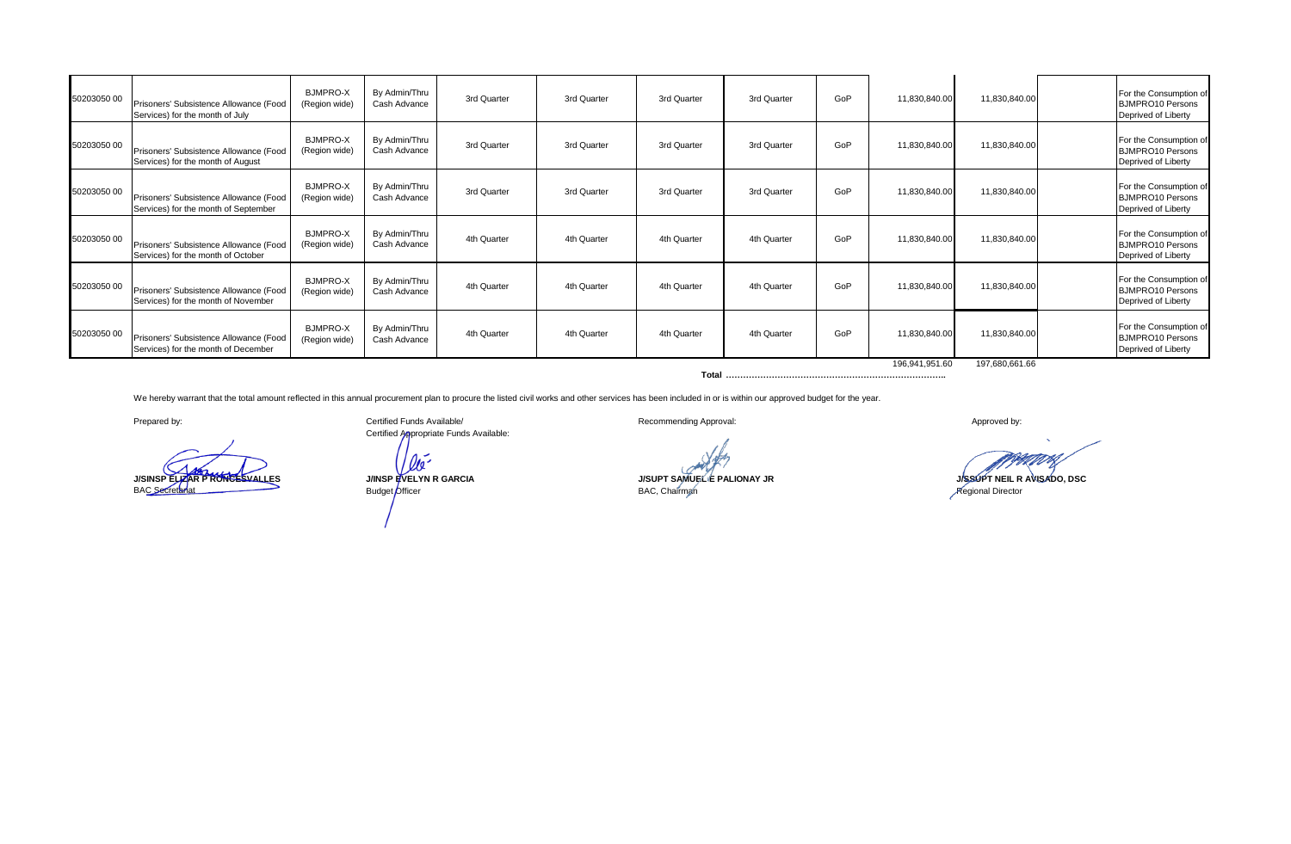| 50203050 00 | Prisoners' Subsistence Allowance (Food<br>Services) for the month of July      | <b>BJMPRO-X</b><br>(Region wide) | By Admin/Thru<br>Cash Advance | 3rd Quarter | 3rd Quarter | 3rd Quarter | 3rd Quarter | GoP | 11,830,840.00  | 11,830,840.00 | For the Consumption of<br><b>BJMPRO10 Persons</b><br>Deprived of Liberty |
|-------------|--------------------------------------------------------------------------------|----------------------------------|-------------------------------|-------------|-------------|-------------|-------------|-----|----------------|---------------|--------------------------------------------------------------------------|
| 50203050 00 | Prisoners' Subsistence Allowance (Food<br>Services) for the month of August    | <b>BJMPRO-X</b><br>(Region wide) | By Admin/Thru<br>Cash Advance | 3rd Quarter | 3rd Quarter | 3rd Quarter | 3rd Quarter | GoP | 11,830,840.00  | 11,830,840.00 | For the Consumption of<br><b>BJMPRO10 Persons</b><br>Deprived of Liberty |
| 50203050 00 | Prisoners' Subsistence Allowance (Food<br>Services) for the month of September | <b>BJMPRO-X</b><br>(Region wide) | By Admin/Thru<br>Cash Advance | 3rd Quarter | 3rd Quarter | 3rd Quarter | 3rd Quarter | GoP | 11,830,840.00  | 11,830,840.00 | For the Consumption of<br><b>BJMPRO10 Persons</b><br>Deprived of Liberty |
| 50203050 00 | Prisoners' Subsistence Allowance (Food<br>Services) for the month of October   | <b>BJMPRO-X</b><br>(Region wide) | By Admin/Thru<br>Cash Advance | 4th Quarter | 4th Quarter | 4th Quarter | 4th Quarter | GoP | 11,830,840.00  | 11,830,840.00 | For the Consumption of<br><b>BJMPRO10 Persons</b><br>Deprived of Liberty |
| 50203050 00 | Prisoners' Subsistence Allowance (Food<br>Services) for the month of November  | <b>BJMPRO-X</b><br>(Region wide) | By Admin/Thru<br>Cash Advance | 4th Quarter | 4th Quarter | 4th Quarter | 4th Quarter | GoP | 11,830,840.00  | 11,830,840.00 | For the Consumption of<br><b>BJMPRO10 Persons</b><br>Deprived of Liberty |
| 50203050 00 | Prisoners' Subsistence Allowance (Food<br>Services) for the month of December  | <b>BJMPRO-X</b><br>(Region wide) | By Admin/Thru<br>Cash Advance | 4th Quarter | 4th Quarter | 4th Quarter | 4th Quarter | GoP | 11,830,840.00  | 11,830,840.00 | For the Consumption of<br><b>BJMPRO10 Persons</b><br>Deprived of Liberty |
|             |                                                                                |                                  |                               |             |             |             |             |     | 100.011.051.00 | 107000010     |                                                                          |

196,941,951.60 197,680,661.66

We hereby warrant that the total amount reflected in this annual procurement plan to procure the listed civil works and other services has been included in or is within our approved budget for the year.

**J/SINSP ELIZAR P RONCESVALLES J/INSP EVELYN R GARCIA J/SUPT SAMUEL E PALIONAY JR J/SSUPT NEIL R AVISADO, DSC** BAC Secretariat Budget Officer Budget Officer BAC, Chairman BAC, Chairman BAC, Chairman Budget Officer Regional Director

Prepared by: **Example 2008** Certified Funds Available/ Recommending Approval: Recommending Approval: Approved by: Approved by: Certified Appropriate Funds Available:  $\omega$ 

**Total …………………………………………………………………..**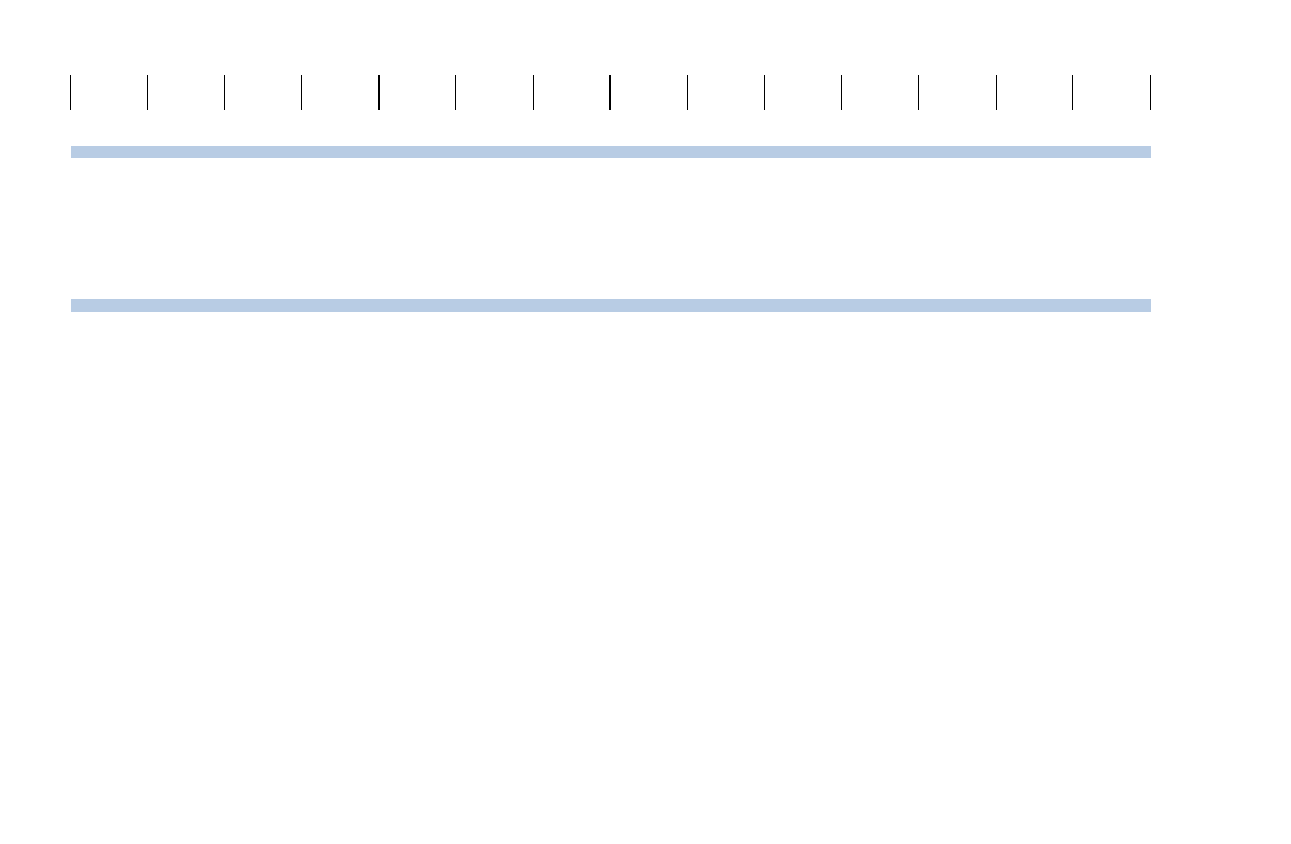- 
- 
- 
- 
- 
- 
- -